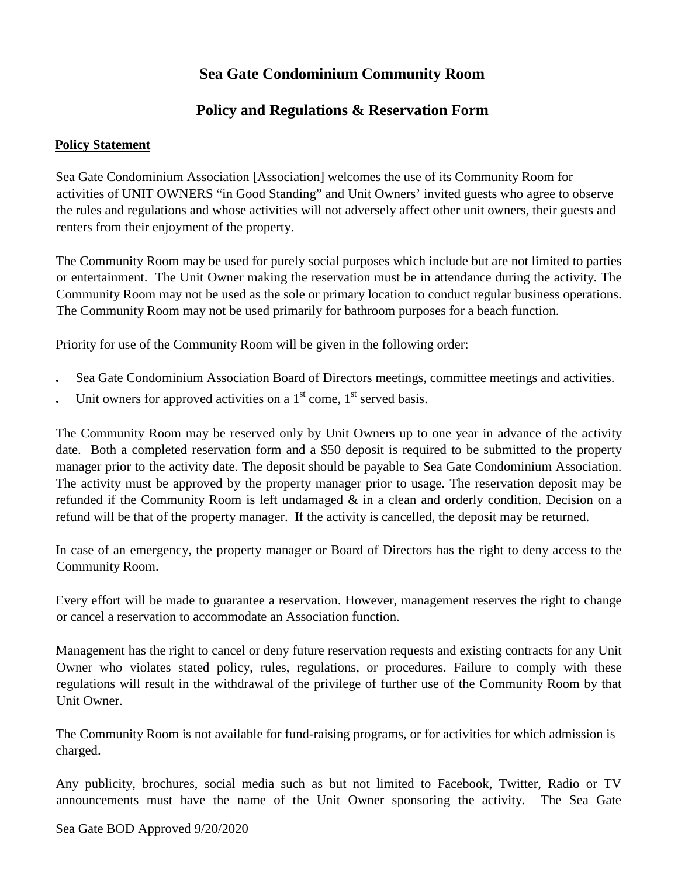## **Sea Gate Condominium Community Room**

## **Policy and Regulations & Reservation Form**

## **Policy Statement**

Sea Gate Condominium Association [Association] welcomes the use of its Community Room for activities of UNIT OWNERS "in Good Standing" and Unit Owners' invited guests who agree to observe the rules and regulations and whose activities will not adversely affect other unit owners, their guests and renters from their enjoyment of the property.

The Community Room may be used for purely social purposes which include but are not limited to parties or entertainment. The Unit Owner making the reservation must be in attendance during the activity. The Community Room may not be used as the sole or primary location to conduct regular business operations. The Community Room may not be used primarily for bathroom purposes for a beach function.

Priority for use of the Community Room will be given in the following order:

- Sea Gate Condominium Association Board of Directors meetings, committee meetings and activities.
- Unit owners for approved activities on a  $1<sup>st</sup>$  come,  $1<sup>st</sup>$  served basis.

The Community Room may be reserved only by Unit Owners up to one year in advance of the activity date. Both a completed reservation form and a \$50 deposit is required to be submitted to the property manager prior to the activity date. The deposit should be payable to Sea Gate Condominium Association. The activity must be approved by the property manager prior to usage. The reservation deposit may be refunded if the Community Room is left undamaged  $\&$  in a clean and orderly condition. Decision on a refund will be that of the property manager. If the activity is cancelled, the deposit may be returned.

In case of an emergency, the property manager or Board of Directors has the right to deny access to the Community Room.

Every effort will be made to guarantee a reservation. However, management reserves the right to change or cancel a reservation to accommodate an Association function.

Management has the right to cancel or deny future reservation requests and existing contracts for any Unit Owner who violates stated policy, rules, regulations, or procedures. Failure to comply with these regulations will result in the withdrawal of the privilege of further use of the Community Room by that Unit Owner.

The Community Room is not available for fund-raising programs, or for activities for which admission is charged.

Any publicity, brochures, social media such as but not limited to Facebook, Twitter, Radio or TV announcements must have the name of the Unit Owner sponsoring the activity. The Sea Gate

Sea Gate BOD Approved 9/20/2020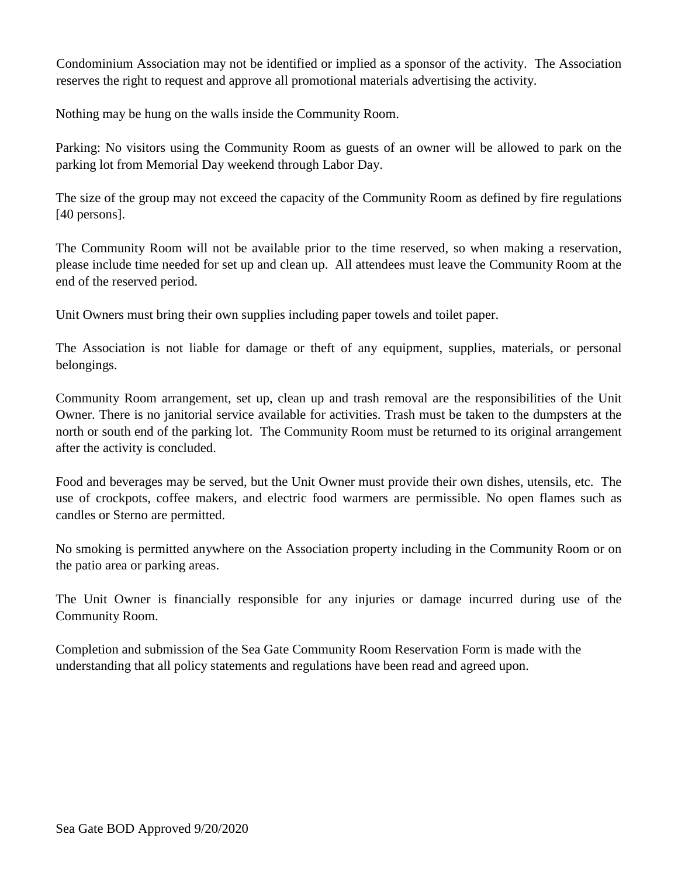Condominium Association may not be identified or implied as a sponsor of the activity. The Association reserves the right to request and approve all promotional materials advertising the activity.

Nothing may be hung on the walls inside the Community Room.

Parking: No visitors using the Community Room as guests of an owner will be allowed to park on the parking lot from Memorial Day weekend through Labor Day.

The size of the group may not exceed the capacity of the Community Room as defined by fire regulations [40 persons].

The Community Room will not be available prior to the time reserved, so when making a reservation, please include time needed for set up and clean up. All attendees must leave the Community Room at the end of the reserved period.

Unit Owners must bring their own supplies including paper towels and toilet paper.

The Association is not liable for damage or theft of any equipment, supplies, materials, or personal belongings.

Community Room arrangement, set up, clean up and trash removal are the responsibilities of the Unit Owner. There is no janitorial service available for activities. Trash must be taken to the dumpsters at the north or south end of the parking lot. The Community Room must be returned to its original arrangement after the activity is concluded.

Food and beverages may be served, but the Unit Owner must provide their own dishes, utensils, etc. The use of crockpots, coffee makers, and electric food warmers are permissible. No open flames such as candles or Sterno are permitted.

No smoking is permitted anywhere on the Association property including in the Community Room or on the patio area or parking areas.

The Unit Owner is financially responsible for any injuries or damage incurred during use of the Community Room.

Completion and submission of the Sea Gate Community Room Reservation Form is made with the understanding that all policy statements and regulations have been read and agreed upon.